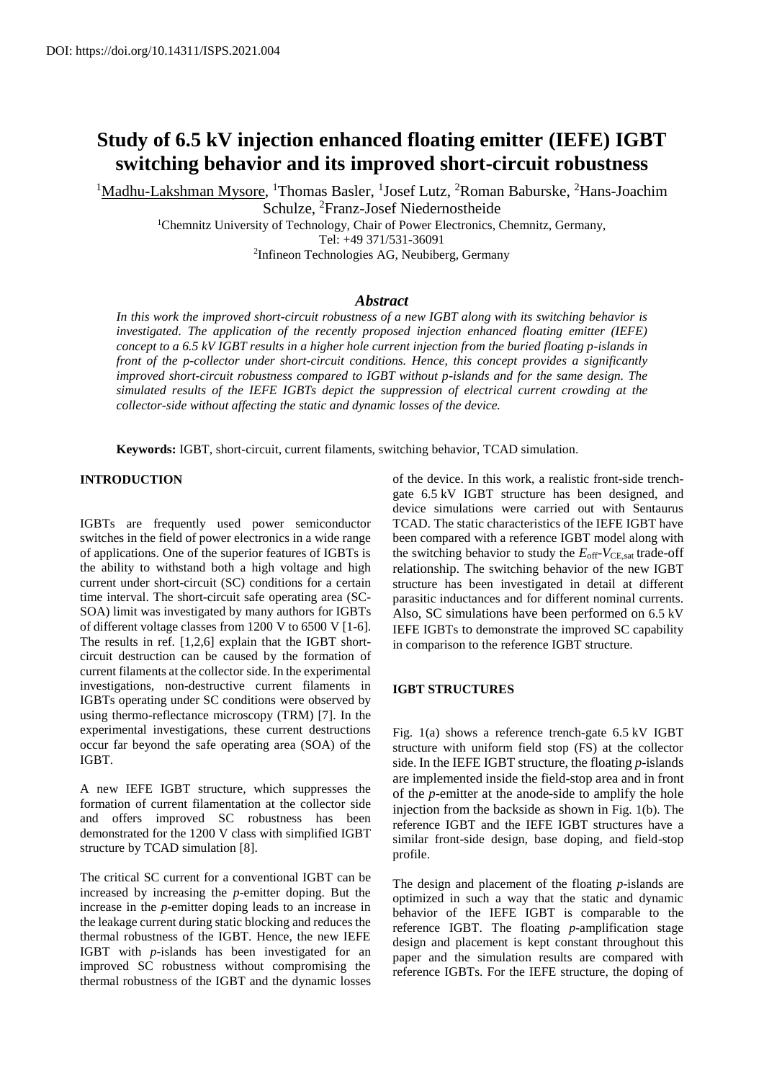# **Study of 6.5 kV injection enhanced floating emitter (IEFE) IGBT switching behavior and its improved short-circuit robustness**

<sup>1</sup>Madhu-Lakshman Mysore, <sup>1</sup>Thomas Basler, <sup>1</sup>Josef Lutz, <sup>2</sup>Roman Baburske, <sup>2</sup>Hans-Joachim Schulze, <sup>2</sup>Franz-Josef Niedernostheide

> <sup>1</sup>Chemnitz University of Technology, Chair of Power Electronics, Chemnitz, Germany, Tel: +49 371/531-36091 2 Infineon Technologies AG, Neubiberg, Germany

# *Abstract*

*In this work the improved short-circuit robustness of a new IGBT along with its switching behavior is investigated. The application of the recently proposed injection enhanced floating emitter (IEFE) concept to a 6.5 kV IGBT results in a higher hole current injection from the buried floating p-islands in front of the p-collector under short-circuit conditions. Hence, this concept provides a significantly improved short-circuit robustness compared to IGBT without p-islands and for the same design. The simulated results of the IEFE IGBTs depict the suppression of electrical current crowding at the collector-side without affecting the static and dynamic losses of the device.* 

**Keywords:** IGBT, short-circuit, current filaments, switching behavior, TCAD simulation.

#### **INTRODUCTION**

IGBTs are frequently used power semiconductor switches in the field of power electronics in a wide range of applications. One of the superior features of IGBTs is the ability to withstand both a high voltage and high current under short-circuit (SC) conditions for a certain time interval. The short-circuit safe operating area (SC-SOA) limit was investigated by many authors for IGBTs of different voltage classes from 1200 V to 6500 V [1-6]. The results in ref. [1,2,6] explain that the IGBT shortcircuit destruction can be caused by the formation of current filaments at the collector side. In the experimental investigations, non-destructive current filaments in IGBTs operating under SC conditions were observed by using thermo-reflectance microscopy (TRM) [7]. In the experimental investigations, these current destructions occur far beyond the safe operating area (SOA) of the IGBT.

A new IEFE IGBT structure, which suppresses the formation of current filamentation at the collector side and offers improved SC robustness has been demonstrated for the 1200 V class with simplified IGBT structure by TCAD simulation [8].

The critical SC current for a conventional IGBT can be increased by increasing the *p*-emitter doping. But the increase in the *p*-emitter doping leads to an increase in the leakage current during static blocking and reduces the thermal robustness of the IGBT. Hence, the new IEFE IGBT with *p*-islands has been investigated for an improved SC robustness without compromising the thermal robustness of the IGBT and the dynamic losses of the device. In this work, a realistic front-side trenchgate 6.5 kV IGBT structure has been designed, and device simulations were carried out with Sentaurus TCAD. The static characteristics of the IEFE IGBT have been compared with a reference IGBT model along with the switching behavior to study the  $E_{\text{off}}$ -*V*CE,sat trade-off relationship. The switching behavior of the new IGBT structure has been investigated in detail at different parasitic inductances and for different nominal currents. Also, SC simulations have been performed on 6.5 kV IEFE IGBTs to demonstrate the improved SC capability in comparison to the reference IGBT structure.

## **IGBT STRUCTURES**

Fig. 1(a) shows a reference trench-gate 6.5 kV IGBT structure with uniform field stop (FS) at the collector side. In the IEFE IGBT structure, the floating *p*-islands are implemented inside the field-stop area and in front of the *p*-emitter at the anode-side to amplify the hole injection from the backside as shown in [Fig. 1\(](#page-1-0)b). The reference IGBT and the IEFE IGBT structures have a similar front-side design, base doping, and field-stop profile.

The design and placement of the floating *p*-islands are optimized in such a way that the static and dynamic behavior of the IEFE IGBT is comparable to the reference IGBT. The floating *p*-amplification stage design and placement is kept constant throughout this paper and the simulation results are compared with reference IGBTs. For the IEFE structure, the doping of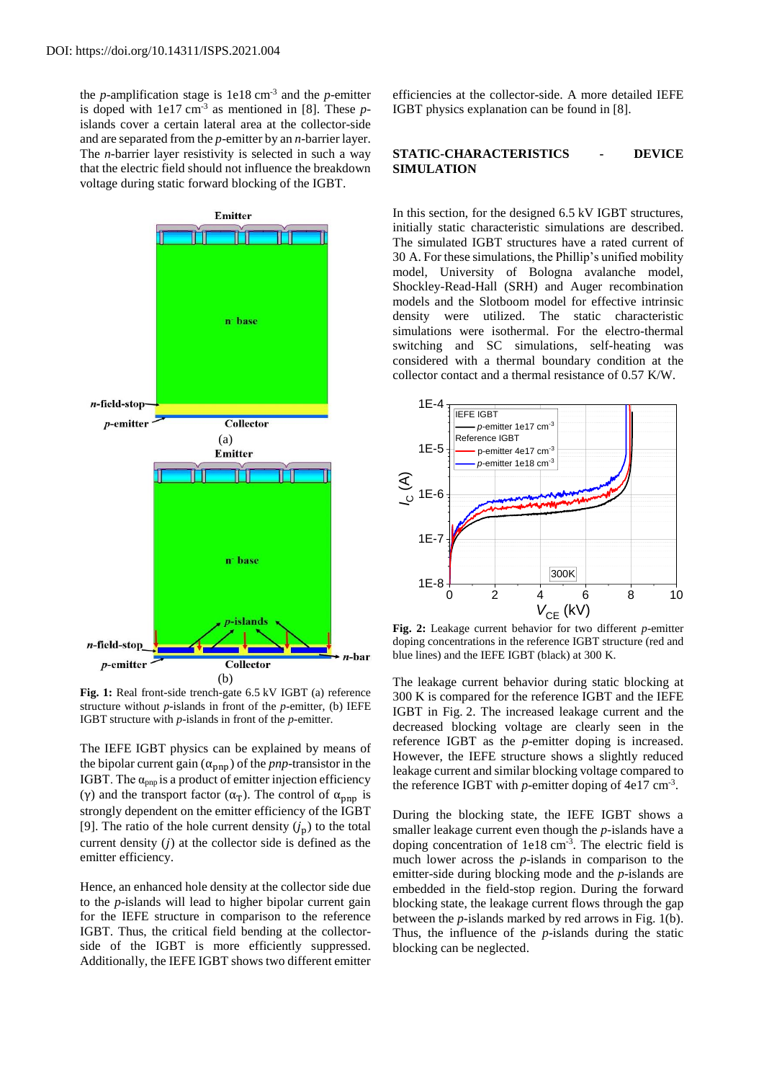the *p*-amplification stage is  $1e18 \text{ cm}^{-3}$  and the *p*-emitter is doped with 1e17 cm-3 as mentioned in [8]. These *p*islands cover a certain lateral area at the collector-side and are separated from the *p*-emitter by an *n*-barrier layer. The *n-*barrier layer resistivity is selected in such a way that the electric field should not influence the breakdown voltage during static forward blocking of the IGBT.



<span id="page-1-0"></span>**Fig. 1:** Real front-side trench-gate 6.5 kV IGBT (a) reference structure without *p*-islands in front of the *p*-emitter, (b) IEFE IGBT structure with *p*-islands in front of the *p*-emitter.

The IEFE IGBT physics can be explained by means of the bipolar current gain  $(\alpha_{pnp})$  of the *pnp*-transistor in the IGBT. The  $\alpha_{\text{pnp}}$  is a product of emitter injection efficiency (γ) and the transport factor ( $\alpha_T$ ). The control of  $\alpha_{pnp}$  is strongly dependent on the emitter efficiency of the IGBT [9]. The ratio of the hole current density  $(j_p)$  to the total current density  $(i)$  at the collector side is defined as the emitter efficiency.

Hence, an enhanced hole density at the collector side due to the *p*-islands will lead to higher bipolar current gain for the IEFE structure in comparison to the reference IGBT. Thus, the critical field bending at the collectorside of the IGBT is more efficiently suppressed. Additionally, the IEFE IGBT shows two different emitter

efficiencies at the collector-side. A more detailed IEFE IGBT physics explanation can be found in [8].

#### **STATIC-CHARACTERISTICS - DEVICE SIMULATION**

In this section, for the designed 6.5 kV IGBT structures, initially static characteristic simulations are described. The simulated IGBT structures have a rated current of 30 A. For these simulations, the Phillip's unified mobility model, University of Bologna avalanche model, Shockley-Read-Hall (SRH) and Auger recombination models and the Slotboom model for effective intrinsic density were utilized. The static characteristic simulations were isothermal. For the electro-thermal switching and SC simulations, self-heating was considered with a thermal boundary condition at the collector contact and a thermal resistance of 0.57 K/W.



**Fig. 2:** Leakage current behavior for two different *p*-emitter doping concentrations in the reference IGBT structure (red and blue lines) and the IEFE IGBT (black) at 300 K.

The leakage current behavior during static blocking at 300 K is compared for the reference IGBT and the IEFE IGBT in Fig. 2. The increased leakage current and the decreased blocking voltage are clearly seen in the reference IGBT as the *p*-emitter doping is increased. However, the IEFE structure shows a slightly reduced leakage current and similar blocking voltage compared to the reference IGBT with  $p$ -emitter doping of 4e17 cm<sup>-3</sup>.

During the blocking state, the IEFE IGBT shows a smaller leakage current even though the *p*-islands have a doping concentration of 1e18 cm<sup>-3</sup>. The electric field is much lower across the *p*-islands in comparison to the emitter-side during blocking mode and the *p*-islands are embedded in the field-stop region. During the forward blocking state, the leakage current flows through the gap between the *p*-islands marked by red arrows in Fig. 1(b). Thus, the influence of the *p*-islands during the static blocking can be neglected.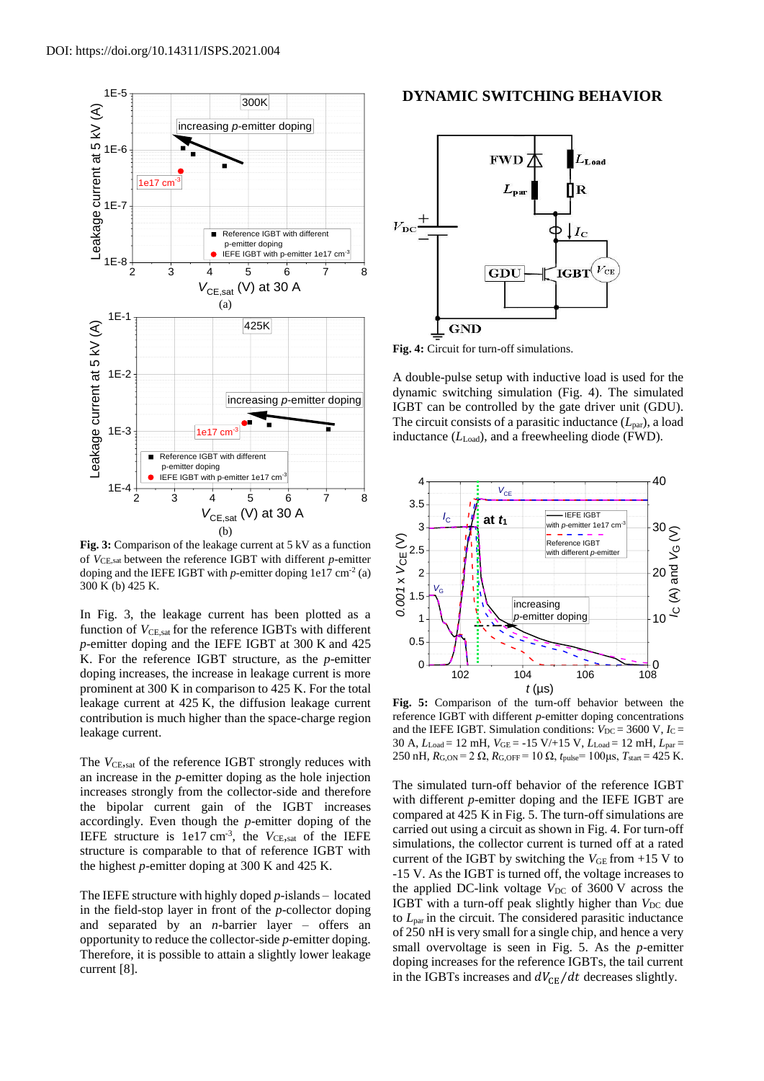

**Fig. 3:** Comparison of the leakage current at 5 kV as a function of *V*CE,sat between the reference IGBT with different *p*-emitter doping and the IEFE IGBT with  $p$ -emitter doping 1e17 cm<sup>-2</sup> (a) 300 K (b) 425 K.

In Fig. 3, the leakage current has been plotted as a function of  $V_{\text{CE,sat}}$  for the reference IGBTs with different *p*-emitter doping and the IEFE IGBT at 300 K and 425 K. For the reference IGBT structure, as the *p*-emitter doping increases, the increase in leakage current is more prominent at 300 K in comparison to 425 K. For the total leakage current at 425 K, the diffusion leakage current contribution is much higher than the space-charge region leakage current.

The *V*<sub>CE</sub>, sat of the reference IGBT strongly reduces with an increase in the *p*-emitter doping as the hole injection increases strongly from the collector-side and therefore the bipolar current gain of the IGBT increases accordingly. Even though the *p*-emitter doping of the IEFE structure is  $1e17 \text{ cm}^{-3}$ , the *V*<sub>CE</sub>, sat of the IEFE structure is comparable to that of reference IGBT with the highest *p*-emitter doping at 300 K and 425 K.

The IEFE structure with highly doped *p*-islands – located in the field-stop layer in front of the *p*-collector doping and separated by an *n*-barrier layer – offers an opportunity to reduce the collector-side *p*-emitter doping. Therefore, it is possible to attain a slightly lower leakage current [8].

# **DYNAMIC SWITCHING BEHAVIOR**



**Fig. 4:** Circuit for turn-off simulations.

A double-pulse setup with inductive load is used for the dynamic switching simulation (Fig. 4). The simulated IGBT can be controlled by the gate driver unit (GDU). The circuit consists of a parasitic inductance  $(L_{par})$ , a load inductance  $(L_{Load})$ , and a freewheeling diode (FWD).



**Fig. 5:** Comparison of the turn-off behavior between the reference IGBT with different *p*-emitter doping concentrations and the IEFE IGBT. Simulation conditions:  $V_{DC} = 3600 \text{ V}, I_C =$ 30 A, *L*Load = 12 mH, *V*GE = -15 V/+15 V, *L*Load = 12 mH, *L*par = 250 nH,  $R_{G,ON} = 2 \Omega$ ,  $R_{G,OFF} = 10 \Omega$ ,  $t_{pulse} = 100 \mu s$ ,  $T_{start} = 425$  K.

The simulated turn-off behavior of the reference IGBT with different *p*-emitter doping and the IEFE IGBT are compared at 425 K in Fig. 5. The turn-off simulations are carried out using a circuit as shown in Fig. 4. For turn-off simulations, the collector current is turned off at a rated current of the IGBT by switching the  $V_{GE}$  from +15 V to -15 V. As the IGBT is turned off, the voltage increases to the applied DC-link voltage  $V_{DC}$  of 3600 V across the IGBT with a turn-off peak slightly higher than *V*<sub>DC</sub> due to *L*par in the circuit. The considered parasitic inductance of 250 nH is very small for a single chip, and hence a very small overvoltage is seen in Fig. 5. As the *p*-emitter doping increases for the reference IGBTs, the tail current in the IGBTs increases and  $dV_{\text{CE}}/dt$  decreases slightly.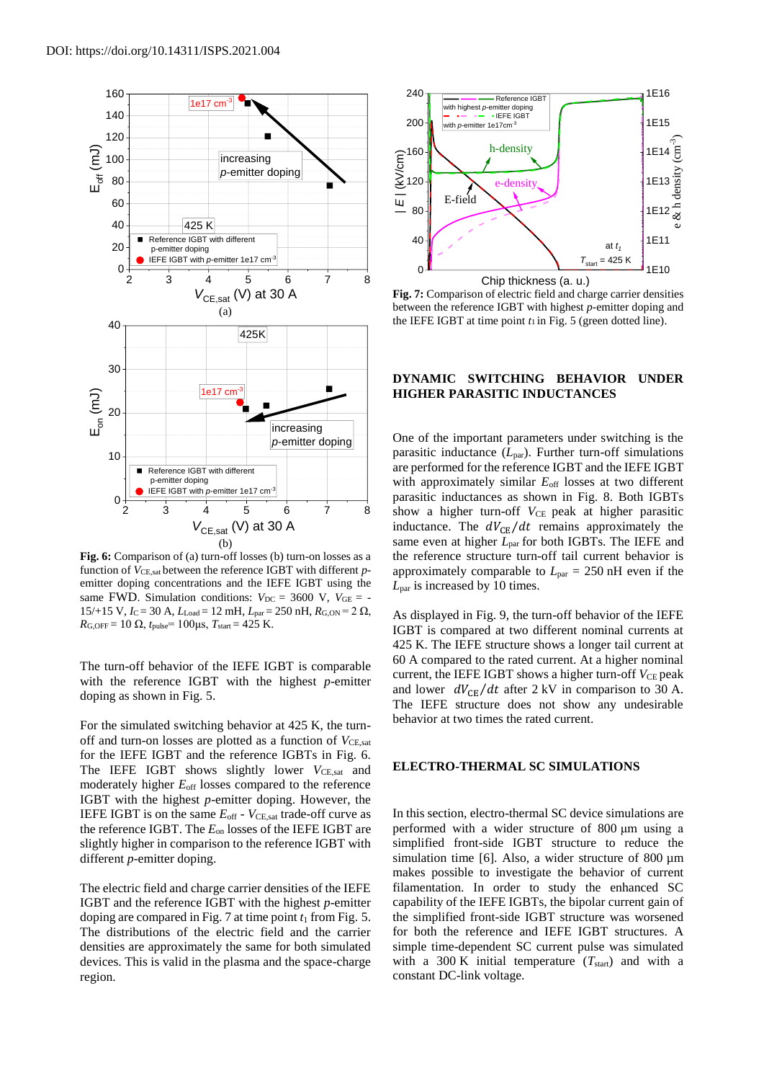

**Fig. 6:** Comparison of (a) turn-off losses (b) turn-on losses as a function of *V*<sub>CE,sat</sub> between the reference IGBT with different *p*emitter doping concentrations and the IEFE IGBT using the same FWD. Simulation conditions:  $V_{DC} = 3600 \text{ V}$ ,  $V_{GE} = 15/+15$  V,  $I_C = 30$  A,  $L_{Load} = 12$  mH,  $L_{par} = 250$  nH,  $R_{G,ON} = 2 \Omega$ , *R*<sub>G,OFF</sub> = 10 Ω,  $t_{pulse}$  = 100μs,  $T_{start}$  = 425 K.

The turn-off behavior of the IEFE IGBT is comparable with the reference IGBT with the highest *p*-emitter doping as shown in Fig. 5.

For the simulated switching behavior at 425 K, the turnoff and turn-on losses are plotted as a function of  $V_{\text{CE,sat}}$ for the IEFE IGBT and the reference IGBTs in Fig. 6. The IEFE IGBT shows slightly lower  $V_{\text{CE,sat}}$  and moderately higher  $E_{\text{off}}$  losses compared to the reference IGBT with the highest *p*-emitter doping. However, the IEFE IGBT is on the same  $E_{\text{off}}$  -  $V_{\text{CE,sat}}$  trade-off curve as the reference IGBT. The *E*on losses of the IEFE IGBT are slightly higher in comparison to the reference IGBT with different *p*-emitter doping.

The electric field and charge carrier densities of the IEFE IGBT and the reference IGBT with the highest *p*-emitter doping are compared in Fig. 7 at time point  $t_1$  from Fig. 5. The distributions of the electric field and the carrier densities are approximately the same for both simulated devices. This is valid in the plasma and the space-charge region.



**Fig. 7:** Comparison of electric field and charge carrier densities between the reference IGBT with highest *p*-emitter doping and the IEFE IGBT at time point  $t_1$  in Fig. 5 (green dotted line).

## **DYNAMIC SWITCHING BEHAVIOR UNDER HIGHER PARASITIC INDUCTANCES**

One of the important parameters under switching is the parasitic inductance  $(L_{\text{par}})$ . Further turn-off simulations are performed for the reference IGBT and the IEFE IGBT with approximately similar  $E_{\text{off}}$  losses at two different parasitic inductances as shown in Fig. 8. Both IGBTs 2 3 4 5 6 7 8 show a higher turn-off *V*<sub>CE</sub> peak at higher parasitic inductance. The  $dV_{\text{CE}}/dt$  remains approximately the same even at higher  $L_{par}$  for both IGBTs. The IEFE and the reference structure turn-off tail current behavior is approximately comparable to  $L_{\text{par}} = 250 \text{ nH}$  even if the *L*par is increased by 10 times.

> As displayed in Fig. 9, the turn-off behavior of the IEFE IGBT is compared at two different nominal currents at 425 K. The IEFE structure shows a longer tail current at 60 A compared to the rated current. At a higher nominal current, the IEFE IGBT shows a higher turn-off  $V_{\text{CE}}$  peak and lower  $dV_{CE}/dt$  after 2 kV in comparison to 30 A. The IEFE structure does not show any undesirable behavior at two times the rated current.

#### **ELECTRO-THERMAL SC SIMULATIONS**

In this section, electro-thermal SC device simulations are performed with a wider structure of 800 μm using a simplified front-side IGBT structure to reduce the simulation time [6]. Also, a wider structure of 800  $\mu$ m makes possible to investigate the behavior of current filamentation. In order to study the enhanced SC capability of the IEFE IGBTs, the bipolar current gain of the simplified front-side IGBT structure was worsened for both the reference and IEFE IGBT structures. A simple time-dependent SC current pulse was simulated with a 300 K initial temperature  $(T<sub>start</sub>)$  and with a constant DC-link voltage.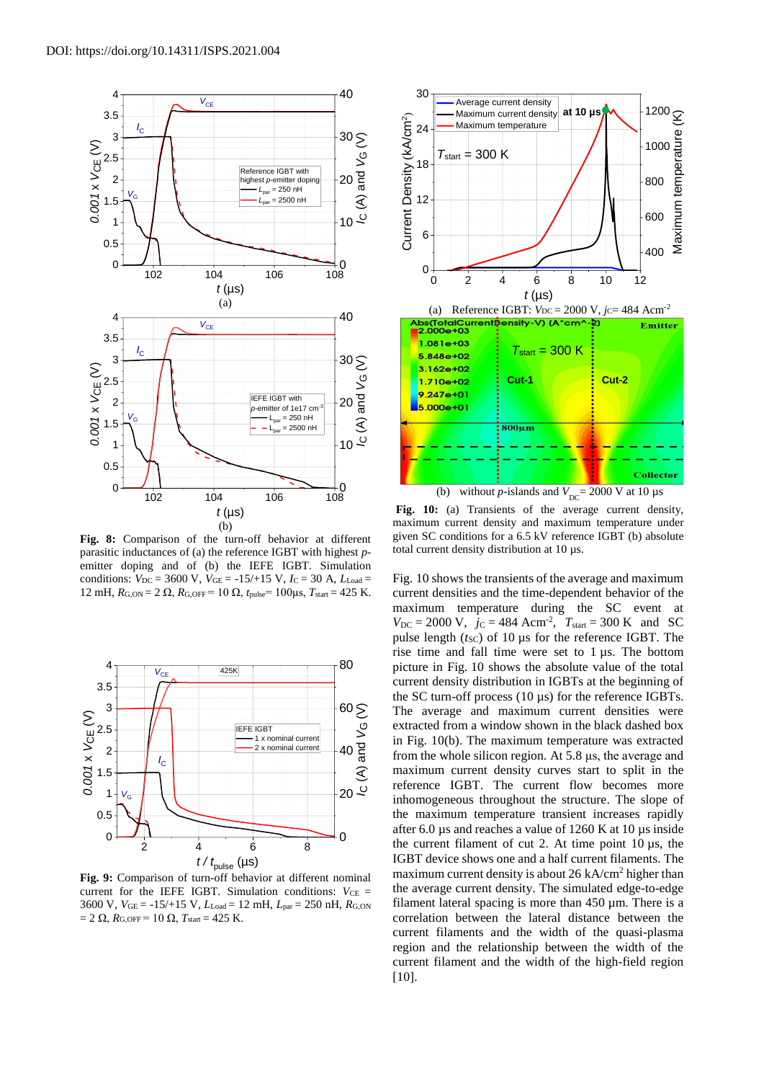

**Fig. 8:** Comparison of the turn-off behavior at different parasitic inductances of (a) the reference IGBT with highest *p*emitter doping and of (b) the IEFE IGBT. Simulation conditions:  $V_{DC} = 3600 \text{ V}$ ,  $V_{GE} = -15/15 \text{ V}$ ,  $I_C = 30 \text{ A}$ ,  $L_{Load} =$ 12 mH,  $R$ G, ON = 2 Ω,  $R$ G, OFF = 10 Ω,  $t_{\text{pulse}}$  = 100μs,  $T_{\text{start}}$  = 425 K.



**Fig. 9:** Comparison of turn-off behavior at different nominal current for the IEFE IGBT. Simulation conditions:  $V_{CE}$  = 3600 V, *V*GE = -15/+15 V, *L*Load = 12 mH, *L*par = 250 nH, *R*G,ON  $= 2 \Omega$ ,  $R$ <sub>G,OFF</sub> = 10 Ω,  $T$ <sub>start</sub> = 425 K.



Fig. 10: (a) Transients of the average current density, maximum current density and maximum temperature under given SC conditions for a 6.5 kV reference IGBT (b) absolute total current density distribution at 10 µs.

Fig. 10 shows the transients of the average and maximum current densities and the time-dependent behavior of the maximum temperature during the SC event at  $V_{\text{DC}} = 2000 \text{ V}, \, j_{\text{C}} = 484 \text{ Acm}^2, \, T_{\text{start}} = 300 \text{ K} \, \text{and} \, \text{SC}$ pulse length  $(t<sub>SC</sub>)$  of 10  $\mu$ s for the reference IGBT. The rise time and fall time were set to 1 µs. The bottom picture in Fig. 10 shows the absolute value of the total 80 current density distribution in IGBTs at the beginning of the SC turn-off process (10 µs) for the reference IGBTs.  $60 \geq$  The average and maximum current densities were extracted from a window shown in the black dashed box in Fig. 10(b). The maximum temperature was extracted  $40\frac{2}{6}$  from the whole silicon region. At 5.8 μs, the average and maximum current density curves start to split in the reference IGBT. The current flow becomes more inhomogeneous throughout the structure. The slope of the maximum temperature transient increases rapidly after 6.0 µs and reaches a value of 1260 K at 10 µs inside  $\frac{1}{2}$  the current filament of cut 2. At time point 10  $\mu$ s, the IGBT device shows one and a half current filaments. The maximum current density is about 26 kA/cm<sup>2</sup> higher than the average current density. The simulated edge-to-edge filament lateral spacing is more than  $450 \mu m$ . There is a correlation between the lateral distance between the current filaments and the width of the quasi-plasma region and the relationship between the width of the current filament and the width of the high-field region [10]. The extr in F<br> *P*G in F<br> *I*C may<br> *I*C may<br> *I*C mete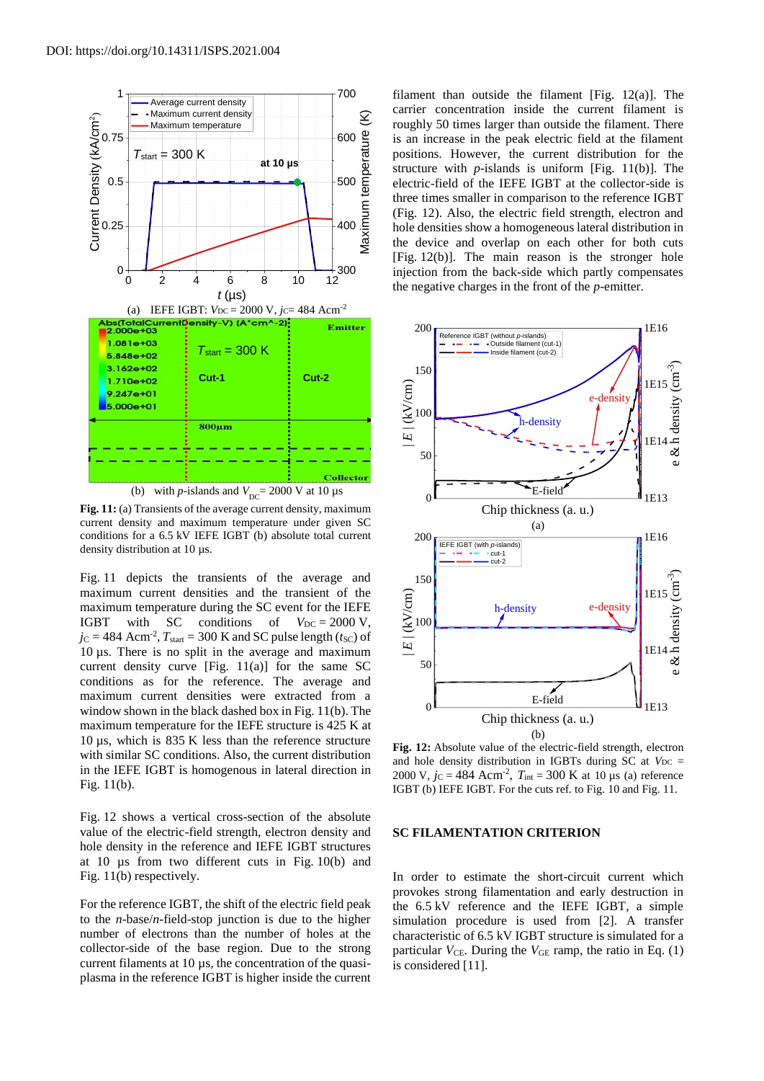

Fig. 11: (a) Transients of the average current density, maximum current density and maximum temperature under given SC conditions for a 6.5 kV IEFE IGBT (b) absolute total current density distribution at 10 µs.

Fig. 11 depicts the transients of the average and maximum current densities and the transient of the maximum temperature during the SC event for the IEFE IGBT with SC conditions of  $V_{DC} = 2000 \text{ V}$ ,  $j_{\rm C} = 484$  Acm<sup>-2</sup>,  $T_{\rm start} = 300$  K and SC pulse length ( $t_{\rm SC}$ ) of 10 µs. There is no split in the average and maximum current density curve [Fig.  $11(a)$ ] for the same SC conditions as for the reference. The average and maximum current densities were extracted from a window shown in the black dashed box in Fig. 11(b). The maximum temperature for the IEFE structure is 425 K at 10 µs, which is 835 K less than the reference structure with similar SC conditions. Also, the current distribution in the IEFE IGBT is homogenous in lateral direction in Fig. 11(b).

Fig. 12 shows a vertical cross-section of the absolute value of the electric-field strength, electron density and hole density in the reference and IEFE IGBT structures at 10 µs from two different cuts in Fig. 10(b) and Fig. 11(b) respectively.

For the reference IGBT, the shift of the electric field peak to the *n*-base/*n*-field-stop junction is due to the higher number of electrons than the number of holes at the collector-side of the base region. Due to the strong current filaments at 10 µs, the concentration of the quasiplasma in the reference IGBT is higher inside the current filament than outside the filament [Fig. 12(a)]. The carrier concentration inside the current filament is roughly 50 times larger than outside the filament. There is an increase in the peak electric field at the filament positions. However, the current distribution for the structure with *p*-islands is uniform [Fig. 11(b)]. The electric-field of the IEFE IGBT at the collector-side is three times smaller in comparison to the reference IGBT (Fig. 12). Also, the electric field strength, electron and hole densities show a homogeneous lateral distribution in the device and overlap on each other for both cuts [Fig. 12(b)]. The main reason is the stronger hole injection from the back-side which partly compensates the negative charges in the front of the *p*-emitter.



**Fig. 12:** Absolute value of the electric-field strength, electron and hole density distribution in IGBTs during  $SC$  at  $V_{DC}$  = 2000 V,  $j_c = 484 \text{ Acm}^2$ ,  $T_{int} = 300 \text{ K}$  at 10 µs (a) reference IGBT (b) IEFE IGBT. For the cuts ref. to Fig. 10 and Fig. 11.

#### **SC FILAMENTATION CRITERION**

In order to estimate the short-circuit current which provokes strong filamentation and early destruction in the 6.5 kV reference and the IEFE IGBT, a simple simulation procedure is used from [2]. A transfer characteristic of 6.5 kV IGBT structure is simulated for a particular  $V_{\text{CE}}$ . During the  $V_{\text{GE}}$  ramp, the ratio in Eq. (1) is considered [11].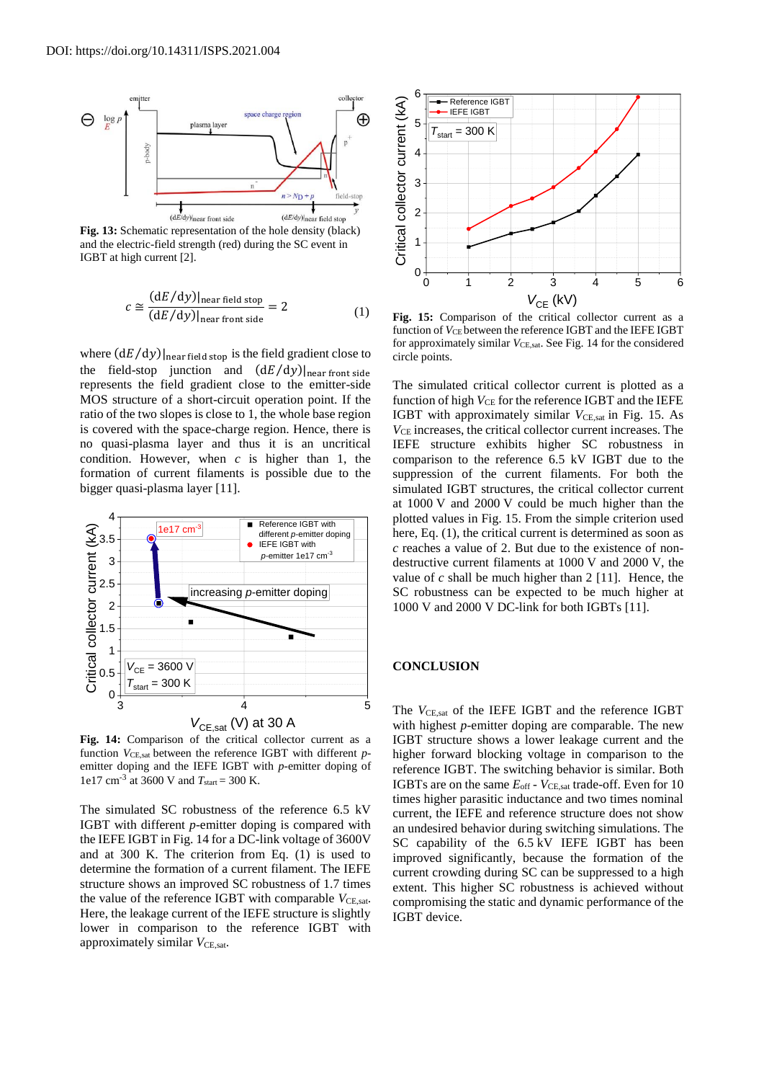

**Fig. 13:** Schematic representation of the hole density (black) and the electric-field strength (red) during the SC event in IGBT at high current [2].

$$
c \cong \frac{(dE/dy)|_{\text{near field stop}}}{(dE/dy)|_{\text{near front side}}} = 2
$$
 (1)

where  $(dE/dy)|_{\text{near field stop}}$  is the field gradient close to the field-stop junction and  $(dE/dy)|_{near\,front\,side}$ represents the field gradient close to the emitter-side MOS structure of a short-circuit operation point. If the ratio of the two slopes is close to 1, the whole base region is covered with the space-charge region. Hence, there is no quasi-plasma layer and thus it is an uncritical condition. However, when *c* is higher than 1, the formation of current filaments is possible due to the bigger quasi-plasma layer [11].



**Fig. 14:** Comparison of the critical collector current as a function *V*CE,sat between the reference IGBT with different *p*emitter doping and the IEFE IGBT with *p*-emitter doping of 1e17 cm-3 at 3600 V and *T*start = 300 K.

The simulated SC robustness of the reference 6.5 kV IGBT with different *p*-emitter doping is compared with the IEFE IGBT in Fig. 14 for a DC-link voltage of 3600V and at 300 K. The criterion from Eq. (1) is used to determine the formation of a current filament. The IEFE structure shows an improved SC robustness of 1.7 times the value of the reference IGBT with comparable  $V_{\text{CE,sat}}$ . Here, the leakage current of the IEFE structure is slightly lower in comparison to the reference IGBT with approximately similar  $V_{\text{CE,sat}}$ .



Fig. 15: Comparison of the critical collector current as a function of *V*<sub>CE</sub> between the reference IGBT and the IEFE IGBT for approximately similar *VCE*,sat. See Fig. 14 for the considered circle points.

The simulated critical collector current is plotted as a function of high  $V_{CE}$  for the reference IGBT and the IEFE IGBT with approximately similar  $V_{\text{CE,sat}}$  in Fig. 15. As  $V_{CE}$  increases, the critical collector current increases. The IEFE structure exhibits higher SC robustness in comparison to the reference 6.5 kV IGBT due to the suppression of the current filaments. For both the simulated IGBT structures, the critical collector current at 1000 V and 2000 V could be much higher than the plotted values in Fig. 15. From the simple criterion used here, Eq.  $(1)$ , the critical current is determined as soon as *c* reaches a value of 2. But due to the existence of nondestructive current filaments at 1000 V and 2000 V, the value of *c* shall be much higher than 2 [11]. Hence, the SC robustness can be expected to be much higher at 1000 V and 2000 V DC-link for both IGBTs [11].

## **CONCLUSION**

with highest *p*-emitter doping are comparable. The new IGBT structure shows a lower leakage current and the higher forward blocking voltage in comparison to the reference IGBT. The switching behavior is similar. Both IGBTs are on the same  $E_{\text{off}}$  -  $V_{\text{CE,sat}}$  trade-off. Even for 10 times higher parasitic inductance and two times nominal current, the IEFE and reference structure does not show an undesired behavior during switching simulations. The SC capability of the 6.5 kV IEFE IGBT has been improved significantly, because the formation of the current crowding during SC can be suppressed to a high extent. This higher SC robustness is achieved without compromising the static and dynamic performance of the IGBT device.